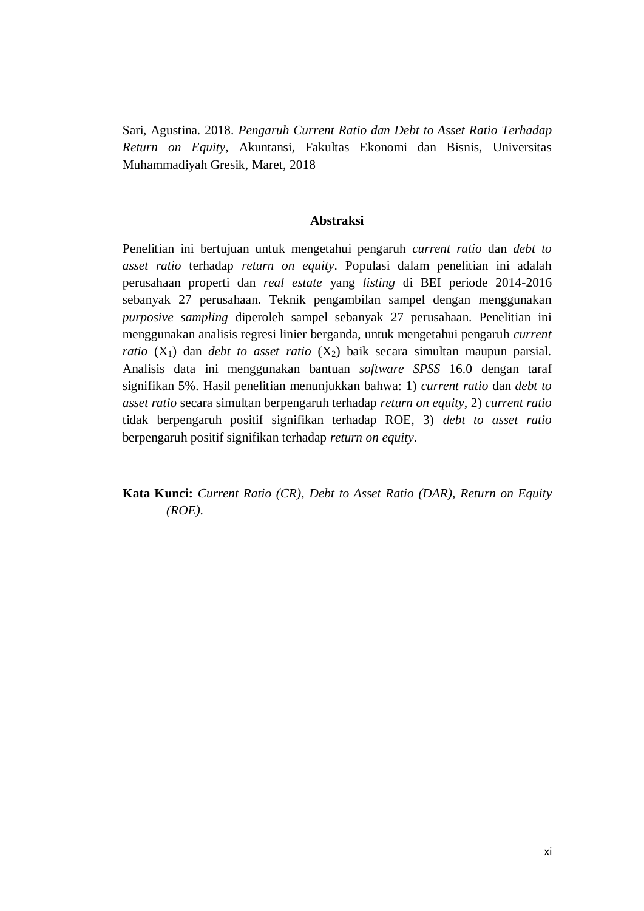Sari, Agustina. 2018. *Pengaruh Current Ratio dan Debt to Asset Ratio Terhadap Return on Equity,* Akuntansi, Fakultas Ekonomi dan Bisnis, Universitas Muhammadiyah Gresik, Maret, 2018

## **Abstraksi**

Penelitian ini bertujuan untuk mengetahui pengaruh *current ratio* dan *debt to asset ratio* terhadap *return on equity*. Populasi dalam penelitian ini adalah perusahaan properti dan *real estate* yang *listing* di BEI periode 2014-2016 sebanyak 27 perusahaan. Teknik pengambilan sampel dengan menggunakan *purposive sampling* diperoleh sampel sebanyak 27 perusahaan. Penelitian ini menggunakan analisis regresi linier berganda, untuk mengetahui pengaruh *current ratio*  $(X_1)$  dan *debt to asset ratio*  $(X_2)$  baik secara simultan maupun parsial. Analisis data ini menggunakan bantuan *software SPSS* 16.0 dengan taraf signifikan 5%. Hasil penelitian menunjukkan bahwa: 1) *current ratio* dan *debt to asset ratio* secara simultan berpengaruh terhadap *return on equity*, 2) *current ratio* tidak berpengaruh positif signifikan terhadap ROE, 3) *debt to asset ratio* berpengaruh positif signifikan terhadap *return on equity*.

**Kata Kunci:** *Current Ratio (CR), Debt to Asset Ratio (DAR), Return on Equity (ROE).*